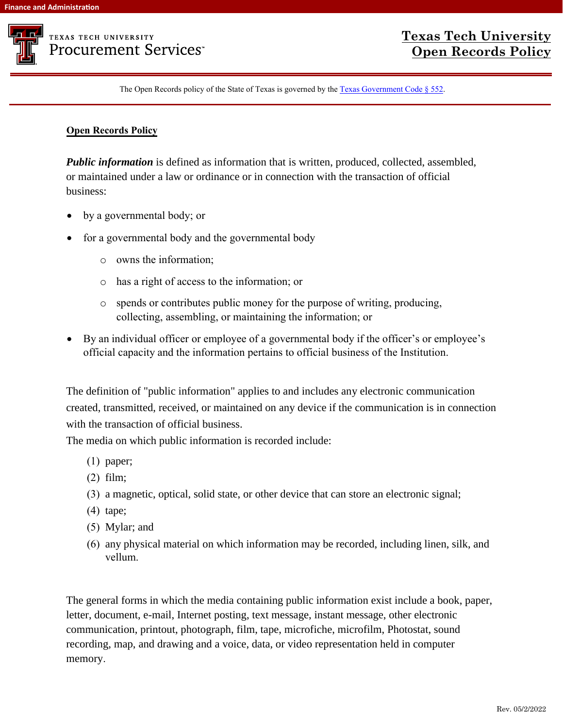

## **TEXAS TECH UNIVERSITY Procurement Services**

The Open Records policy of the State of Texas is governed by the [Texas Government Code § 552](https://statutes.capitol.texas.gov/Docs/GV/htm/GV.552.htm).

## **[Open](http://www.statutes.legis.state.tx.us/Docs/GV/htm/GV.552.htm) Records Policy**

**Public information** is defined as information that is written, produced, collected, assembled, or maintained under a law or ordinance or in connection with the transaction of official business:

- by a governmental body; or
- for a governmental body and the governmental body
	- o owns the information;
	- o has a right of access to the information; or
	- o spends or contributes public money for the purpose of writing, producing, collecting, assembling, or maintaining the information; or
- By an individual officer or employee of a governmental body if the officer's or employee's official capacity and the information pertains to official business of the Institution.

The definition of "public information" applies to and includes any electronic communication created, transmitted, received, or maintained on any device if the communication is in connection with the transaction of official business.

The media on which public information is recorded include:

- (1) paper;
- (2) film;
- (3) a magnetic, optical, solid state, or other device that can store an electronic signal;
- (4) tape;
- (5) Mylar; and
- (6) any physical material on which information may be recorded, including linen, silk, and vellum.

The general forms in which the media containing public information exist include a book, paper, letter, document, e-mail, Internet posting, text message, instant message, other electronic communication, printout, photograph, film, tape, microfiche, microfilm, Photostat, sound recording, map, and drawing and a voice, data, or video representation held in computer memory.